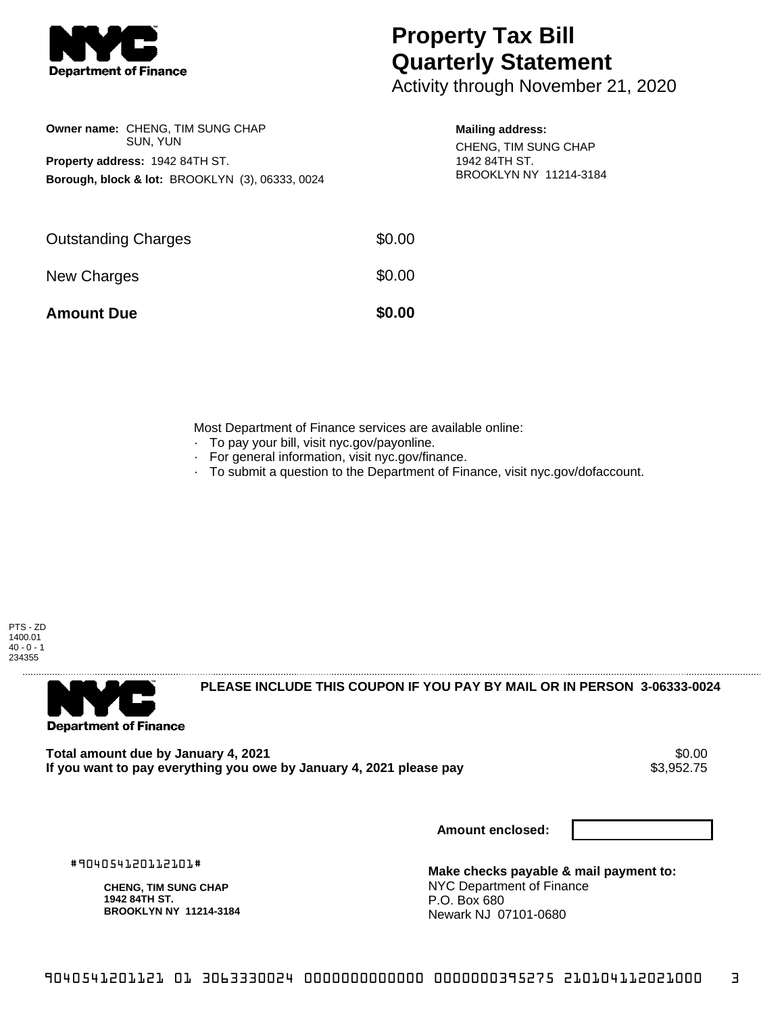

## **Property Tax Bill Quarterly Statement**

Activity through November 21, 2020

|                     | Owner name: CHENG, TIM SUNG CHAP<br>SUN, YUN               |        | <b>Mailing address:</b><br>CHENG, TIM SUNG CHAP |  |
|---------------------|------------------------------------------------------------|--------|-------------------------------------------------|--|
|                     | <b>Property address: 1942 84TH ST.</b>                     |        | 1942 84TH ST.<br>BROOKLYN NY 11214-3184         |  |
|                     | <b>Borough, block &amp; lot: BROOKLYN (3), 06333, 0024</b> |        |                                                 |  |
|                     |                                                            |        |                                                 |  |
| Outstanding Charges |                                                            | \$0.00 |                                                 |  |
| <b>New Charges</b>  |                                                            | \$0.00 |                                                 |  |
|                     |                                                            |        |                                                 |  |

**Amount Due \$0.00** 

Most Department of Finance services are available online:

- · To pay your bill, visit nyc.gov/payonline.
- For general information, visit nyc.gov/finance.
- · To submit a question to the Department of Finance, visit nyc.gov/dofaccount.

PTS - ZD 1400.01  $40 - 0 - 1$ 234355



**PLEASE INCLUDE THIS COUPON IF YOU PAY BY MAIL OR IN PERSON 3-06333-0024** 

**Total amount due by January 4, 2021** \$0.00 If you want to pay everything you owe by January 4, 2021 please pay

**Amount enclosed:**

#904054120112101#

**CHENG, TIM SUNG CHAP 1942 84TH ST. BROOKLYN NY 11214-3184**

**Make checks payable & mail payment to:** NYC Department of Finance P.O. Box 680 Newark NJ 07101-0680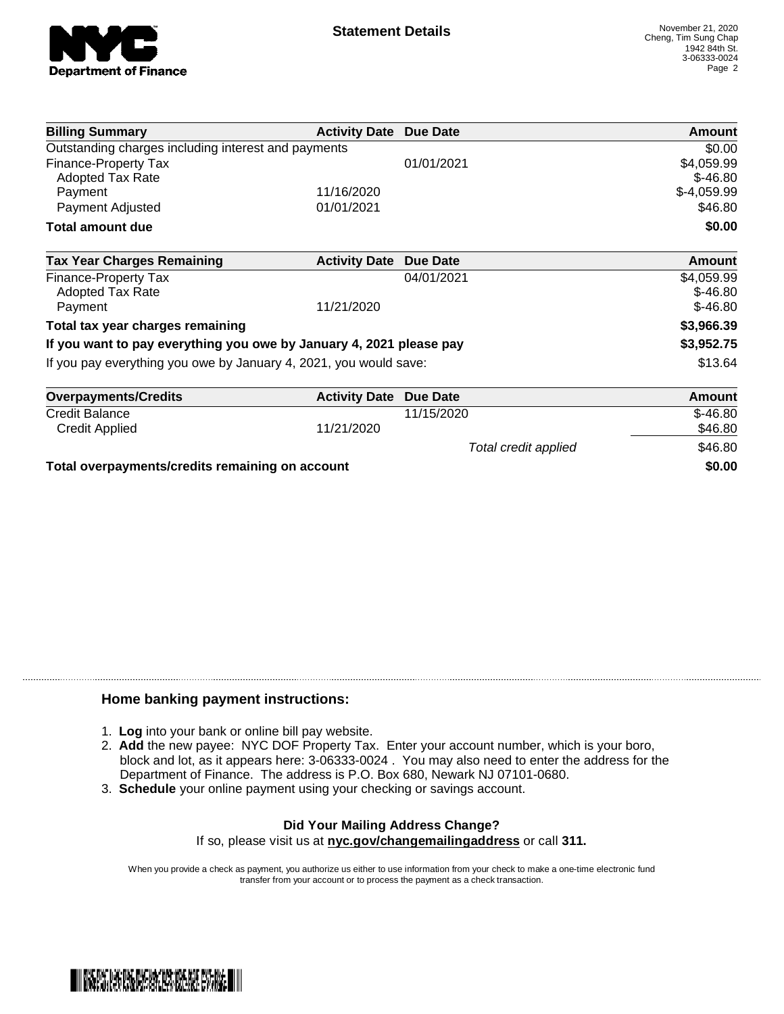

| <b>Billing Summary</b>                                              | <b>Activity Date</b> | Due Date             | Amount        |
|---------------------------------------------------------------------|----------------------|----------------------|---------------|
| Outstanding charges including interest and payments                 |                      |                      | \$0.00        |
| <b>Finance-Property Tax</b>                                         |                      | 01/01/2021           | \$4,059.99    |
| Adopted Tax Rate                                                    |                      |                      | $$-46.80$     |
| Payment                                                             | 11/16/2020           |                      | $$-4,059.99$  |
| Payment Adjusted                                                    | 01/01/2021           |                      | \$46.80       |
| <b>Total amount due</b>                                             |                      |                      | \$0.00        |
| <b>Tax Year Charges Remaining</b>                                   | <b>Activity Date</b> | <b>Due Date</b>      | <b>Amount</b> |
| <b>Finance-Property Tax</b>                                         |                      | 04/01/2021           | \$4,059.99    |
| <b>Adopted Tax Rate</b>                                             |                      |                      | $$-46.80$     |
| Payment                                                             | 11/21/2020           |                      | $$-46.80$     |
| Total tax year charges remaining                                    |                      |                      | \$3,966.39    |
| If you want to pay everything you owe by January 4, 2021 please pay |                      |                      | \$3,952.75    |
| If you pay everything you owe by January 4, 2021, you would save:   |                      |                      | \$13.64       |
| <b>Overpayments/Credits</b>                                         | <b>Activity Date</b> | <b>Due Date</b>      | <b>Amount</b> |
| <b>Credit Balance</b>                                               |                      | 11/15/2020           | $$-46.80$     |
| <b>Credit Applied</b>                                               | 11/21/2020           |                      | \$46.80       |
|                                                                     |                      | Total credit applied | \$46.80       |

**Total overpayments/credits remaining on account \$0.00**

## **Home banking payment instructions:**

- 1. **Log** into your bank or online bill pay website.
- 2. **Add** the new payee: NYC DOF Property Tax. Enter your account number, which is your boro, block and lot, as it appears here: 3-06333-0024 . You may also need to enter the address for the Department of Finance. The address is P.O. Box 680, Newark NJ 07101-0680.
- 3. **Schedule** your online payment using your checking or savings account.

## **Did Your Mailing Address Change?** If so, please visit us at **nyc.gov/changemailingaddress** or call **311.**

When you provide a check as payment, you authorize us either to use information from your check to make a one-time electronic fund transfer from your account or to process the payment as a check transaction.